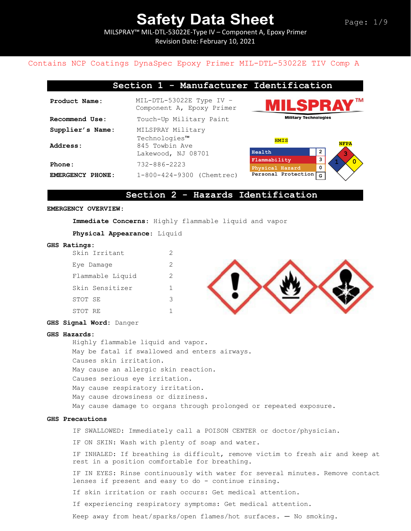ΔĪ.

**3**

# **Safety Data Sheet**

MILSPRAY™ MIL-DTL-53022E-Type IV – Component A, Epoxy Primer Revision Date: February 10, 2021

## Contains NCP Coatings DynaSpec Epoxy Primer MIL-DTL-53022E TIV Comp A

|                  | Section 1 - Manufacturer Identification                 |                              |
|------------------|---------------------------------------------------------|------------------------------|
| Product Name:    | $MIL-DTL-53022E$ Type IV -<br>Component A, Epoxy Primer | <b>MILSPRAY</b>              |
| Recommend Use:   | Touch-Up Military Paint                                 | <b>Military Technologies</b> |
| Supplier's Name: | MILSPRAY Military                                       |                              |

**Personal Protection NFPA 1 0 Health 2 Flammability 3 Physical Hazard 0 G** Technologies™ Address: 845 Towbin Ave Lakewood, NJ 08701 **EMERGENCY PHONE:** 1-800-424-9300 (Chemtrec) **HMIS**

## **Section 2 - Hazards Identification**

### **EMERGENCY OVERVIEW:**

**Immediate Concerns**: Highly flammable liquid and vapor

**Physical Appearance**: Liquid

**Phone:** 732-886-2223

#### **GHS Ratings:**

|         | Skin Irritant    | 2 |
|---------|------------------|---|
|         | Eye Damaqe       | 2 |
|         | Flammable Liquid | 2 |
|         | Skin Sensitizer  | 1 |
| STOT SE |                  | 3 |
| STOT RE |                  |   |



### **GHS Signal Word:** Danger

#### **GHS Hazards:**

```
Highly flammable liquid and vapor.
May be fatal if swallowed and enters airways.
Causes skin irritation. 
May cause an allergic skin reaction.
Causes serious eye irritation. 
May cause respiratory irritation. 
May cause drowsiness or dizziness. 
May cause damage to organs through prolonged or repeated exposure.
```
#### **GHS Precautions**

IF SWALLOWED: Immediately call a POISON CENTER or doctor/physician.

IF ON SKIN: Wash with plenty of soap and water.

IF INHALED: If breathing is difficult, remove victim to fresh air and keep at rest in a position comfortable for breathing.

IF IN EYES: Rinse continuously with water for several minutes. Remove contact lenses if present and easy to do - continue rinsing.

If skin irritation or rash occurs: Get medical attention.

If experiencing respiratory symptoms: Get medical attention.

Keep away from heat/sparks/open flames/hot surfaces. — No smoking.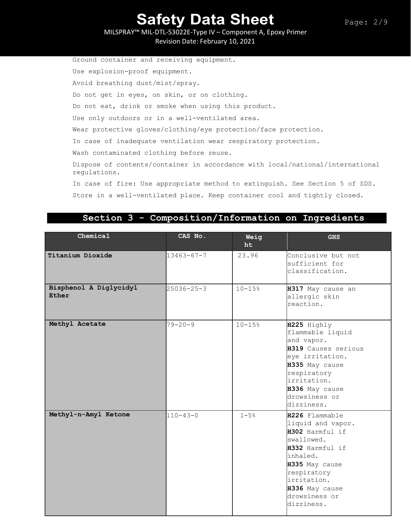MILSPRAY™ MIL-DTL-53022E-Type IV – Component A, Epoxy Primer Revision Date: February 10, 2021

Ground container and receiving equipment. Use explosion-proof equipment. Avoid breathing dust/mist/spray. Do not get in eyes, on skin, or on clothing. Do not eat, drink or smoke when using this product. Use only outdoors or in a well-ventilated area. Wear protective gloves/clothing/eye protection/face protection. In case of inadequate ventilation wear respiratory protection. Wash contaminated clothing before reuse. Dispose of contents/container in accordance with local/national/international regulations. In case of fire: Use appropriate method to extinguish. See Section 5 of SDS. Store in a well-ventilated place. Keep container cool and tightly closed.

## **Section 3 - Composition/Information on Ingredients**

| Chemical                        | CAS No.          | Weig<br>ht | <b>GHS</b>                                                                                                                                                                                           |
|---------------------------------|------------------|------------|------------------------------------------------------------------------------------------------------------------------------------------------------------------------------------------------------|
| Titanium Dioxide                | $13463 - 67 - 7$ | 23.96      | Conclusive but not<br>sufficient for<br>classification.                                                                                                                                              |
| Bisphenol A Diglycidyl<br>Ether | $25036 - 25 - 3$ | $10 - 15%$ | H317 May cause an<br>allergic skin<br>reaction.                                                                                                                                                      |
| Methyl Acetate                  | $79 - 20 - 9$    | $10 - 15%$ | H225 Highly<br>flammable liquid<br>and vapor.<br>H319 Causes serious<br>eye irritation.<br>H335 May cause<br>respiratory<br>irritation.<br>H336 May cause<br>drowsiness or<br>dizziness.             |
| Methyl-n-Amyl Ketone            | $110 - 43 - 0$   | $1 - 5%$   | H226 Flammable<br>liquid and vapor.<br>H302 Harmful if<br>swallowed.<br>H332 Harmful if<br>inhaled.<br>H335 May cause<br>respiratory<br>irritation.<br>H336 May cause<br>drowsiness or<br>dizziness. |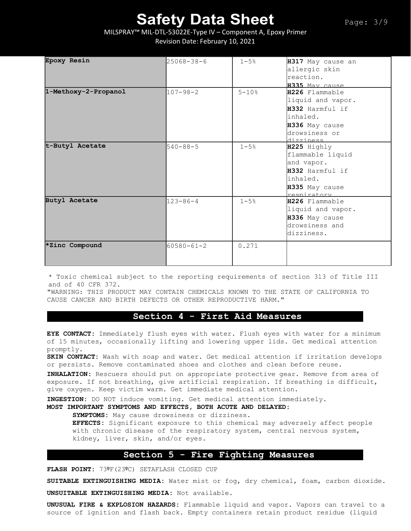## MILSPRAY™ MIL-DTL-53022E-Type IV – Component A, Epoxy Primer Revision Date: February 10, 2021

| Epoxy Resin          | $25068 - 38 - 6$ | $1 - 5%$  |                   |
|----------------------|------------------|-----------|-------------------|
|                      |                  |           | H317 May cause an |
|                      |                  |           | allergic skin     |
|                      |                  |           | reaction.         |
|                      |                  |           | H335 May cause    |
| 1-Methoxy-2-Propanol | $107 - 98 - 2$   | $5 - 10%$ | H226 Flammable    |
|                      |                  |           | liquid and vapor. |
|                      |                  |           | H332 Harmful if   |
|                      |                  |           | inhaled.          |
|                      |                  |           | H336 May cause    |
|                      |                  |           | drowsiness or     |
|                      |                  |           | dizziness         |
| t-Butyl Acetate      | $540 - 88 - 5$   | $1 - 5%$  | H225 Highly       |
|                      |                  |           | flammable liquid  |
|                      |                  |           | and vapor.        |
|                      |                  |           | H332 Harmful if   |
|                      |                  |           | inhaled.          |
|                      |                  |           | H335 May cause    |
|                      |                  |           | respiratory       |
| <b>Butyl Acetate</b> | $123 - 86 - 4$   | $1 - 5%$  | H226 Flammable    |
|                      |                  |           | liquid and vapor. |
|                      |                  |           | H336 May cause    |
|                      |                  |           | drowsiness and    |
|                      |                  |           | dizziness.        |
|                      |                  |           |                   |
| *Zinc Compound       | $60580 - 61 - 2$ | 0.271     |                   |
|                      |                  |           |                   |
|                      |                  |           |                   |

\* Toxic chemical subject to the reporting requirements of section 313 of Title III and of 40 CFR 372.

"WARNING: THIS PRODUCT MAY CONTAIN CHEMICALS KNOWN TO THE STATE OF CALIFORNIA TO CAUSE CANCER AND BIRTH DEFECTS OR OTHER REPRODUCTIVE HARM."

## **Section 4 - First Aid Measures**

**EYE CONTACT:** Immediately flush eyes with water. Flush eyes with water for a minimum of 15 minutes, occasionally lifting and lowering upper lids. Get medical attention promptly.

**SKIN CONTACT:** Wash with soap and water. Get medical attention if irritation develops or persists. Remove contaminated shoes and clothes and clean before reuse.

**INHALATION:** Rescuers should put on appropriate protective gear. Remove from area of exposure. If not breathing, give artificial respiration. If breathing is difficult, give oxygen. Keep victim warm. Get immediate medical attention.

**INGESTION:** DO NOT induce vomiting. Get medical attention immediately.

**MOST IMPORTANT SYMPTOMS AND EFFECTS, BOTH ACUTE AND DELAYED:**

**SYMPTOMS:** May cause drowsiness or dizziness.

**EFFECTS:** Significant exposure to this chemical may adversely affect people with chronic disease of the respiratory system, central nervous system, kidney, liver, skin, and/or eyes.

## **Section 5 - Fire Fighting Measures**

**FLASH POINT:** 73ºF(23ºC) SETAFLASH CLOSED CUP

**SUITABLE EXTINGUISHING MEDIA:** Water mist or fog, dry chemical, foam, carbon dioxide.

**UNSUITABLE EXTINGUISHING MEDIA:** Not available.

**UNUSUAL FIRE & EXPLOSION HAZARDS:** Flammable liquid and vapor. Vapors can travel to a source of ignition and flash back. Empty containers retain product residue (liquid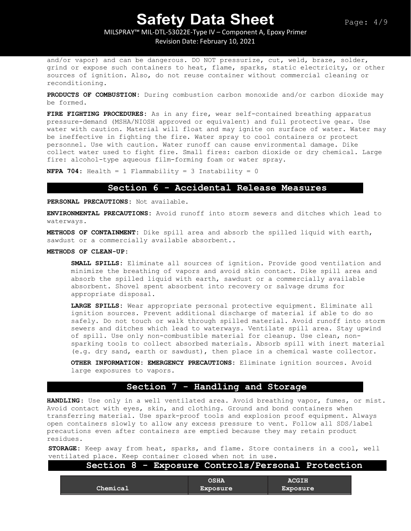# MILSPRAY™ MIL-DTL-53022E-Type IV – Component A, Epoxy Primer

Revision Date: February 10, 2021

and/or vapor) and can be dangerous. DO NOT pressurize, cut, weld, braze, solder, grind or expose such containers to heat, flame, sparks, static electricity, or other sources of ignition. Also, do not reuse container without commercial cleaning or reconditioning.

**PRODUCTS OF COMBUSTION:** During combustion carbon monoxide and/or carbon dioxide may be formed.

**FIRE FIGHTING PROCEDURES:** As in any fire, wear self-contained breathing apparatus pressure-demand (MSHA/NIOSH approved or equivalent) and full protective gear. Use water with caution. Material will float and may ignite on surface of water. Water may be ineffective in fighting the fire. Water spray to cool containers or protect personnel. Use with caution. Water runoff can cause environmental damage. Dike collect water used to fight fire. Small fires: carbon dioxide or dry chemical. Large fire: alcohol-type aqueous film-forming foam or water spray.

**NFPA 704:** Health = 1 Flammability = 3 Instability = 0

### **Section 6 - Accidental Release Measures**

**PERSONAL PRECAUTIONS:** Not available.

**ENVIRONMENTAL PRECAUTIONS:** Avoid runoff into storm sewers and ditches which lead to waterways.

**METHODS OF CONTAINMENT:** Dike spill area and absorb the spilled liquid with earth, sawdust or a commercially available absorbent..

### **METHODS OF CLEAN-UP:**

**SMALL SPILLS:** Eliminate all sources of ignition. Provide good ventilation and minimize the breathing of vapors and avoid skin contact. Dike spill area and absorb the spilled liquid with earth, sawdust or a commercially available absorbent. Shovel spent absorbent into recovery or salvage drums for appropriate disposal.

**LARGE SPILLS:** Wear appropriate personal protective equipment. Eliminate all ignition sources. Prevent additional discharge of material if able to do so safely. Do not touch or walk through spilled material. Avoid runoff into storm sewers and ditches which lead to waterways. Ventilate spill area. Stay upwind of spill. Use only non-combustible material for cleanup. Use clean, nonsparking tools to collect absorbed materials. Absorb spill with inert material (e.g. dry sand, earth or sawdust), then place in a chemical waste collector.

**OTHER INFORMATION: EMERGENCY PRECAUTIONS:** Eliminate ignition sources. Avoid large exposures to vapors.

## **Section 7 - Handling and Storage**

**HANDLING**: Use only in a well ventilated area. Avoid breathing vapor, fumes, or mist. Avoid contact with eyes, skin, and clothing. Ground and bond containers when transferring material. Use spark-proof tools and explosion proof equipment. Always open containers slowly to allow any excess pressure to vent. Follow all SDS/label precautions even after containers are emptied because they may retain product residues.

**STORAGE:** Keep away from heat, sparks, and flame. Store containers in a cool, well ventilated place. Keep container closed when not in use.

## **Section 8 - Exposure Controls/Personal Protection**

| Chemical | <b>OSHA</b><br>Exposure | <b>ACGIH</b><br><b>Exposure</b> |
|----------|-------------------------|---------------------------------|
|          |                         |                                 |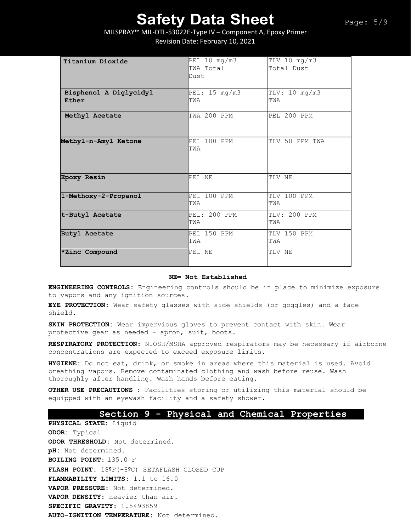MILSPRAY™ MIL-DTL-53022E-Type IV – Component A, Epoxy Primer Revision Date: February 10, 2021

| Titanium Dioxide                | PEL 10 mg/m3<br>TWA Total<br>Dust | TLV 10 mg/m3<br>Total Dust |
|---------------------------------|-----------------------------------|----------------------------|
| Bisphenol A Diglycidyl<br>Ether | PEL: 15 mg/m3<br>TWA              | TLV: 10 mg/m3<br>TWA       |
| Methyl Acetate                  | TWA 200 PPM                       | PEL 200 PPM                |
| Methyl-n-Amyl Ketone            | PEL 100 PPM<br>TWA                | TLV 50 PPM TWA             |
| <b>Epoxy Resin</b>              | PEL NE                            | TLV NE                     |
| 1-Methoxy-2-Propanol            | PEL 100 PPM<br>TWA                | TLV 100 PPM<br>TWA         |
| t-Butyl Acetate                 | PEL: 200 PPM<br>TWA               | TLV: 200 PPM<br>TWA        |
| <b>Butyl Acetate</b>            | PEL 150 PPM<br>TWA                | TLV 150 PPM<br>TWA         |
| *Zinc Compound                  | PEL NE                            | TLV NE                     |

### **NE= Not Established**

**ENGINEERING CONTROLS:** Engineering controls should be in place to minimize exposure to vapors and any ignition sources.

**EYE PROTECTION**: Wear safety glasses with side shields (or goggles) and a face shield.

**SKIN PROTECTION:** Wear impervious gloves to prevent contact with skin. Wear protective gear as needed - apron, suit, boots.

**RESPIRATORY PROTECTION**: NIOSH/MSHA approved respirators may be necessary if airborne concentrations are expected to exceed exposure limits.

**HYGIENE:** Do not eat, drink, or smoke in areas where this material is used. Avoid breathing vapors. Remove contaminated clothing and wash before reuse. Wash thoroughly after handling. Wash hands before eating.

**OTHER USE PRECAUTIONS :** Facilities storing or utilizing this material should be equipped with an eyewash facility and a safety shower.

## **Section 9 - Physical and Chemical Properties**

**PHYSICAL STATE:** Liquid **ODOR:** Typical **ODOR THRESHOLD:** Not determined. **pH:** Not determined. **BOILING POINT:** 135.0 F **FLASH POINT:** 18ºF(-8ºC) SETAFLASH CLOSED CUP **FLAMMABILITY LIMITS:** 1.1 to 16.0 **VAPOR PRESSURE:** Not determined. **VAPOR DENSITY:** Heavier than air. **SPECIFIC GRAVITY:** 1.5493859 **AUTO-IGNITION TEMPERATURE:** Not determined.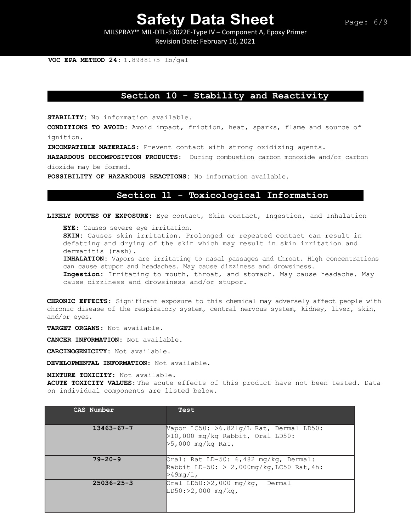MILSPRAY™ MIL-DTL-53022E-Type IV – Component A, Epoxy Primer Revision Date: February 10, 2021

**VOC EPA METHOD 24:** 1.8988175 lb/gal

## **Section 10 - Stability and Reactivity**

**STABILITY:** No information available.

**CONDITIONS TO AVOID:** Avoid impact, friction, heat, sparks, flame and source of ignition.

**INCOMPATIBLE MATERIALS:** Prevent contact with strong oxidizing agents.

**HAZARDOUS DECOMPOSITION PRODUCTS:** During combustion carbon monoxide and/or carbon dioxide may be formed.

**POSSIBILITY OF HAZARDOUS REACTIONS:** No information available.

## **Section 11 - Toxicological Information**

**LIKELY ROUTES OF EXPOSURE:** Eye contact, Skin contact, Ingestion, and Inhalation

**EYE:** Causes severe eye irritation.

**SKIN:** Causes skin irritation. Prolonged or repeated contact can result in defatting and drying of the skin which may result in skin irritation and dermatitis (rash).

**INHALATION:** Vapors are irritating to nasal passages and throat. High concentrations can cause stupor and headaches. May cause dizziness and drowsiness.

**Ingestion:** Irritating to mouth, throat, and stomach. May cause headache. May cause dizziness and drowsiness and/or stupor.

**CHRONIC EFFECTS:** Significant exposure to this chemical may adversely affect people with chronic disease of the respiratory system, central nervous system, kidney, liver, skin, and/or eyes.

**TARGET ORGANS:** Not available.

**CANCER INFORMATION:** Not available.

**CARCINOGENICITY:** Not available.

**DEVELOPMENTAL INFORMATION:** Not available.

**MIXTURE TOXICITY:** Not available.

**ACUTE TOXICITY VALUES:** The acute effects of this product have not been tested. Data on individual components are listed below.

| CAS Number       | Test                                                                                                   |
|------------------|--------------------------------------------------------------------------------------------------------|
| $13463 - 67 - 7$ | Vapor LC50: $>6.821q/L$ Rat, Dermal LD50:<br>$>10,000$ mg/kg Rabbit, Oral LD50:<br>$>5,000$ mg/kg Rat, |
| $79 - 20 - 9$    | Oral: Rat LD-50: $6,482$ mg/kg, Dermal:<br>Rabbit LD-50: $> 2,000$ mg/kg, LC50 Rat, 4h:<br>>49mq/L,    |
| $25036 - 25 - 3$ | Oral LD50: $>2,000$ mg/kg, Dermal<br>$LD50: >2,000 mg/kg$ ,                                            |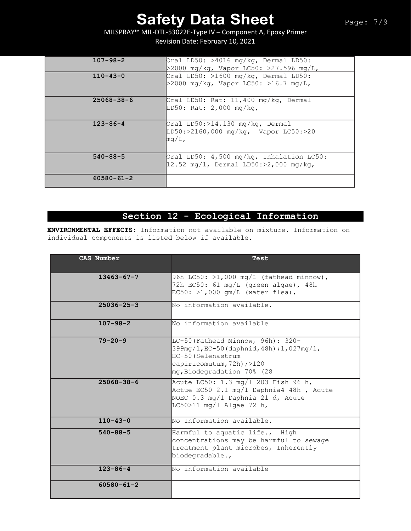MILSPRAY™ MIL-DTL-53022E-Type IV – Component A, Epoxy Primer Revision Date: February 10, 2021

| $107 - 98 - 2$   | Oral LD50: $>4016$ mg/kg, Dermal LD50:<br>>2000 mg/kg, Vapor LC50: >27.596 mg/L,              |
|------------------|-----------------------------------------------------------------------------------------------|
| $110 - 43 - 0$   | Oral LD50: $>1600$ mg/kg, Dermal LD50:<br>>2000 mg/kg, Vapor LC50: >16.7 mg/L,                |
| $25068 - 38 - 6$ | Oral LD50: Rat: $11,400$ mg/kg, Dermal<br>LD50: Rat: 2,000 mg/kg,                             |
| $123 - 86 - 4$   | Oral $LD50: >14,130$ mg/kg, Dermal<br>LD50:>2160,000 mg/kg, Vapor LC50:>20<br>$mq/L$ ,        |
| $540 - 88 - 5$   | Oral LD50: 4,500 mg/kg, Inhalation LC50:<br>$ 12.52 \text{ mg/l}$ , Dermal LD50:>2,000 mg/kg, |
| $60580 - 61 - 2$ |                                                                                               |

## **Section 12 - Ecological Information**

**ENVIRONMENTAL EFFECTS:** Information not available on mixture. Information on individual components is listed below if available.

| CAS Number       | Test                                                                                                                                                                |
|------------------|---------------------------------------------------------------------------------------------------------------------------------------------------------------------|
| $13463 - 67 - 7$ | 96h LC50: >1,000 mg/L (fathead minnow),<br>72h EC50: 61 mg/L (green algae), 48h<br>$EC50:$ >1,000 qm/L (water flea),                                                |
| $25036 - 25 - 3$ | No information available.                                                                                                                                           |
| $107 - 98 - 2$   | No information available                                                                                                                                            |
| $79 - 20 - 9$    | LC-50 (Fathead Minnow, 96h): 320-<br>$399mg/L$ , EC-50 (daphnid, 48h); 1, 027mg/1,<br>EC-50 (Selenastrum<br>capiricomutum, 72h) ;>120<br>mg, Biodegradation 70% (28 |
| $25068 - 38 - 6$ | Acute LC50: 1.3 mg/1 203 Fish 96 h,<br>Actue EC50 2.1 mg/l Daphnia4 48h, Acute<br>NOEC 0.3 mg/1 Daphnia 21 d, Acute<br>$LC50>11$ mg/l Algae 72 h,                   |
| $110 - 43 - 0$   | No Information available.                                                                                                                                           |
| $540 - 88 - 5$   | Harmful to aquatic life., High<br>concentrations may be harmful to sewage<br>treatment plant microbes, Inherently<br>biodegradable.,                                |
| $123 - 86 - 4$   | No information available                                                                                                                                            |
| $60580 - 61 - 2$ |                                                                                                                                                                     |